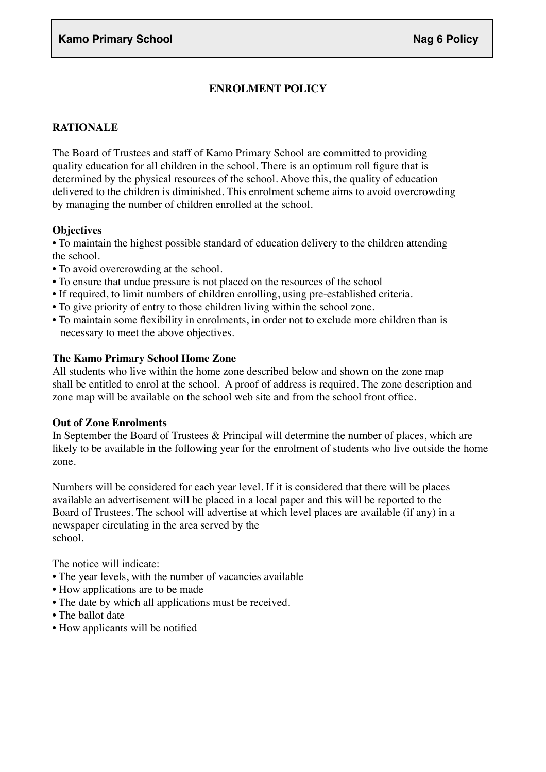# **ENROLMENT POLICY**

### **RATIONALE**

The Board of Trustees and staff of Kamo Primary School are committed to providing quality education for all children in the school. There is an optimum roll figure that is determined by the physical resources of the school. Above this, the quality of education delivered to the children is diminished. This enrolment scheme aims to avoid overcrowding by managing the number of children enrolled at the school.

### **Objectives**

• To maintain the highest possible standard of education delivery to the children attending the school.

- To avoid overcrowding at the school.
- To ensure that undue pressure is not placed on the resources of the school
- If required, to limit numbers of children enrolling, using pre-established criteria.
- To give priority of entry to those children living within the school zone.
- To maintain some flexibility in enrolments, in order not to exclude more children than is necessary to meet the above objectives.

### **The Kamo Primary School Home Zone**

All students who live within the home zone described below and shown on the zone map shall be entitled to enrol at the school. A proof of address is required. The zone description and zone map will be available on the school web site and from the school front office.

#### **Out of Zone Enrolments**

In September the Board of Trustees & Principal will determine the number of places, which are likely to be available in the following year for the enrolment of students who live outside the home zone.

Numbers will be considered for each year level. If it is considered that there will be places available an advertisement will be placed in a local paper and this will be reported to the Board of Trustees. The school will advertise at which level places are available (if any) in a newspaper circulating in the area served by the school.

The notice will indicate:

- The year levels, with the number of vacancies available
- How applications are to be made
- The date by which all applications must be received.
- The ballot date
- How applicants will be notified